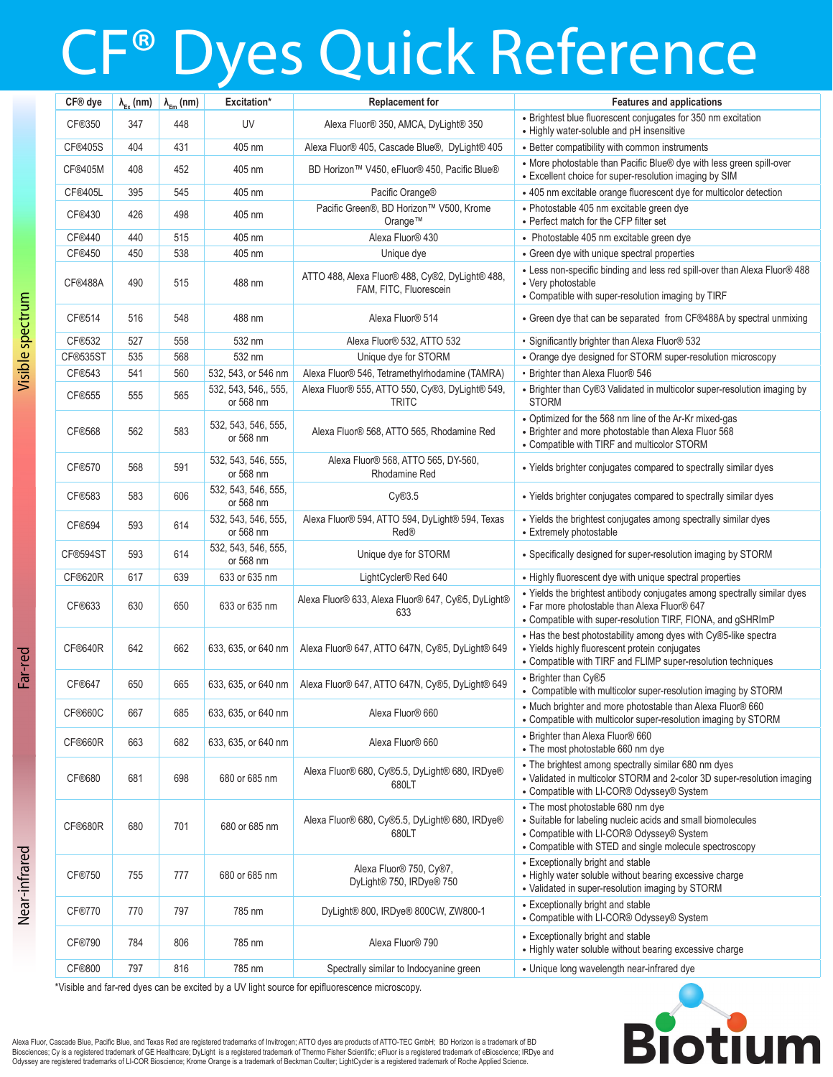# CF® Dyes Quick Reference

| CF® dye        |     | $\lambda_{\text{ex}}$ (nm) $\lambda_{\text{em}}$ (nm) | Excitation*                       | <b>Replacement for</b>                                                    | <b>Features and applications</b>                                                                                                                                                                          |
|----------------|-----|-------------------------------------------------------|-----------------------------------|---------------------------------------------------------------------------|-----------------------------------------------------------------------------------------------------------------------------------------------------------------------------------------------------------|
| CF®350         | 347 | 448                                                   | UV                                | Alexa Fluor® 350, AMCA, DyLight® 350                                      | • Brightest blue fluorescent conjugates for 350 nm excitation<br>• Highly water-soluble and pH insensitive                                                                                                |
| <b>CF®405S</b> | 404 | 431                                                   | 405 nm                            | Alexa Fluor® 405, Cascade Blue®, DyLight® 405                             | • Better compatibility with common instruments                                                                                                                                                            |
| <b>CF®405M</b> | 408 | 452                                                   | 405 nm                            | BD Horizon™ V450. eFluor® 450. Pacific Blue®                              | • More photostable than Pacific Blue® dye with less green spill-over<br>• Excellent choice for super-resolution imaging by SIM                                                                            |
| CF®405L        | 395 | 545                                                   | 405 nm                            | Pacific Orange®                                                           | • 405 nm excitable orange fluorescent dye for multicolor detection                                                                                                                                        |
| CF®430         | 426 | 498                                                   | 405 nm                            | Pacific Green®, BD Horizon™ V500, Krome<br>Orange™                        | · Photostable 405 nm excitable green dye<br>• Perfect match for the CFP filter set                                                                                                                        |
| CF®440         | 440 | 515                                                   | 405 nm                            | Alexa Fluor® 430                                                          | • Photostable 405 nm excitable green dye                                                                                                                                                                  |
| CF®450         | 450 | 538                                                   | 405 nm                            | Unique dye                                                                | • Green dye with unique spectral properties                                                                                                                                                               |
| CF®488A        | 490 | 515                                                   | 488 nm                            | ATTO 488, Alexa Fluor® 488, Cy®2, DyLight® 488,<br>FAM, FITC, Fluorescein | • Less non-specific binding and less red spill-over than Alexa Fluor® 488<br>• Very photostable<br>• Compatible with super-resolution imaging by TIRF                                                     |
| CF®514         | 516 | 548                                                   | 488 nm                            | Alexa Fluor® 514                                                          | • Green dye that can be separated from CF®488A by spectral unmixing                                                                                                                                       |
| CF®532         | 527 | 558                                                   | 532 nm                            | Alexa Fluor® 532, ATTO 532                                                | · Significantly brighter than Alexa Fluor® 532                                                                                                                                                            |
| CF®535ST       | 535 | 568                                                   | 532 nm                            | Unique dye for STORM                                                      | • Orange dye designed for STORM super-resolution microscopy                                                                                                                                               |
| CF®543         | 541 | 560                                                   | 532, 543, or 546 nm               | Alexa Fluor® 546, Tetramethylrhodamine (TAMRA)                            | • Brighter than Alexa Fluor® 546                                                                                                                                                                          |
| CF®555         | 555 | 565                                                   | 532, 543, 546,, 555,<br>or 568 nm | Alexa Fluor® 555, ATTO 550, Cy®3, DyLight® 549,<br><b>TRITC</b>           | • Brighter than Cy®3 Validated in multicolor super-resolution imaging by<br><b>STORM</b>                                                                                                                  |
| CF®568         | 562 | 583                                                   | 532, 543, 546, 555,<br>or 568 nm  | Alexa Fluor® 568, ATTO 565, Rhodamine Red                                 | • Optimized for the 568 nm line of the Ar-Kr mixed-gas<br>• Brighter and more photostable than Alexa Fluor 568<br>• Compatible with TIRF and multicolor STORM                                             |
| CF®570         | 568 | 591                                                   | 532, 543, 546, 555,<br>or 568 nm  | Alexa Fluor® 568, ATTO 565, DY-560,<br>Rhodamine Red                      | • Yields brighter conjugates compared to spectrally similar dyes                                                                                                                                          |
| CF®583         | 583 | 606                                                   | 532, 543, 546, 555,<br>or 568 nm  | Cy@3.5                                                                    | • Yields brighter conjugates compared to spectrally similar dyes                                                                                                                                          |
| CF®594         | 593 | 614                                                   | 532, 543, 546, 555,<br>or 568 nm  | Alexa Fluor® 594, ATTO 594, DyLight® 594, Texas<br><b>Red®</b>            | • Yields the brightest conjugates among spectrally similar dyes<br>• Extremely photostable                                                                                                                |
| CF®594ST       | 593 | 614                                                   | 532, 543, 546, 555,<br>or 568 nm  | Unique dye for STORM                                                      | • Specifically designed for super-resolution imaging by STORM                                                                                                                                             |
| CF®620R        | 617 | 639                                                   | 633 or 635 nm                     | LightCycler® Red 640                                                      | • Highly fluorescent dye with unique spectral properties                                                                                                                                                  |
| CF®633         | 630 | 650                                                   | 633 or 635 nm                     | Alexa Fluor® 633, Alexa Fluor® 647, Cy®5, DyLight®<br>633                 | • Yields the brightest antibody conjugates among spectrally similar dyes<br>- Far more photostable than Alexa Fluor® 647<br>• Compatible with super-resolution TIRF, FIONA, and gSHRImP                   |
| CF®640R        | 642 | 662                                                   | 633, 635, or 640 nm               | Alexa Fluor® 647, ATTO 647N, Cy®5, DyLight® 649                           | • Has the best photostability among dyes with Cy®5-like spectra<br>• Yields highly fluorescent protein conjugates<br>• Compatible with TIRF and FLIMP super-resolution techniques                         |
| CF®647         | 650 | 665                                                   | 633, 635, or 640 nm               | Alexa Fluor® 647, ATTO 647N, Cy®5, DyLight® 649                           | • Brighter than Cy®5<br>• Compatible with multicolor super-resolution imaging by STORM                                                                                                                    |
| CF®660C        | 667 | 685                                                   | 633, 635, or 640 nm               | Alexa Fluor® 660                                                          | • Much brighter and more photostable than Alexa Fluor® 660<br>• Compatible with multicolor super-resolution imaging by STORM                                                                              |
| CF®660R        | 663 | 682                                                   | 633, 635, or 640 nm               | Alexa Fluor® 660                                                          | • Brighter than Alexa Fluor® 660<br>• The most photostable 660 nm dye                                                                                                                                     |
| CF®680         | 681 | 698                                                   | 680 or 685 nm                     | Alexa Fluor® 680, Cy®5.5, DyLight® 680, IRDye®<br>680LT                   | • The brightest among spectrally similar 680 nm dyes<br>• Validated in multicolor STORM and 2-color 3D super-resolution imaging<br>• Compatible with LI-COR® Odyssey® System                              |
| CF®680R        | 680 | 701                                                   | 680 or 685 nm                     | Alexa Fluor® 680, Cy®5.5, DyLight® 680, IRDye®<br>680LT                   | • The most photostable 680 nm dye<br>• Suitable for labeling nucleic acids and small biomolecules<br>• Compatible with LI-COR® Odyssey® System<br>• Compatible with STED and single molecule spectroscopy |
| CF®750         | 755 | 777                                                   | 680 or 685 nm                     | Alexa Fluor® 750, Cy®7,<br>DyLight® 750, IRDye® 750                       | • Exceptionally bright and stable<br>• Highly water soluble without bearing excessive charge<br>• Validated in super-resolution imaging by STORM                                                          |
| CF®770         | 770 | 797                                                   | 785 nm                            | DyLight® 800, IRDye® 800CW, ZW800-1                                       | • Exceptionally bright and stable<br>• Compatible with LI-COR® Odyssey® System                                                                                                                            |
| CF®790         | 784 | 806                                                   | 785 nm                            | Alexa Fluor® 790                                                          | • Exceptionally bright and stable<br>• Highly water soluble without bearing excessive charge                                                                                                              |
| CF®800         | 797 | 816                                                   | 785 nm                            | Spectrally similar to Indocyanine green                                   | • Unique long wavelength near-infrared dye                                                                                                                                                                |
|                |     |                                                       |                                   |                                                                           |                                                                                                                                                                                                           |

**Biotiu** 

Visible and far-red dyes can be excited by a UV light source for epifluorescence microscopy.

Alexa Fluor, Cascade Blue, Pacific Blue, and Texas Red are registered trademarks of Invitrogen; ATTO oyes are products of ATTO-TEC GmbH; BD Horizon is a trademark of BD<br>Biosciences; Cy is a registered trademark of GE Healt Odyssey are registered trademarks of LI-COR Bioscience; Krome Orange is a trademark of Beckman Coulter; LightCycler is a registered trademark of Roche Applied Science.

Near-infrared